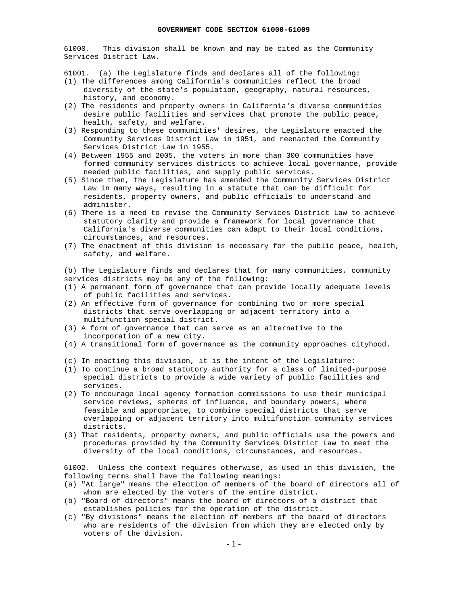61000. This division shall be known and may be cited as the Community Services District Law.

- 61001. (a) The Legislature finds and declares all of the following:
- (1) The differences among California's communities reflect the broad diversity of the state's population, geography, natural resources, history, and economy.
- (2) The residents and property owners in California's diverse communities desire public facilities and services that promote the public peace, health, safety, and welfare.
- (3) Responding to these communities' desires, the Legislature enacted the Community Services District Law in 1951, and reenacted the Community Services District Law in 1955.
- (4) Between 1955 and 2005, the voters in more than 300 communities have formed community services districts to achieve local governance, provide needed public facilities, and supply public services.
- (5) Since then, the Legislature has amended the Community Services District Law in many ways, resulting in a statute that can be difficult for residents, property owners, and public officials to understand and administer.
- (6) There is a need to revise the Community Services District Law to achieve statutory clarity and provide a framework for local governance that California's diverse communities can adapt to their local conditions, circumstances, and resources.
- (7) The enactment of this division is necessary for the public peace, health, safety, and welfare.

(b) The Legislature finds and declares that for many communities, community services districts may be any of the following:

- (1) A permanent form of governance that can provide locally adequate levels of public facilities and services.
- (2) An effective form of governance for combining two or more special districts that serve overlapping or adjacent territory into a multifunction special district.
- (3) A form of governance that can serve as an alternative to the incorporation of a new city.
- (4) A transitional form of governance as the community approaches cityhood.
- (c) In enacting this division, it is the intent of the Legislature:
- (1) To continue a broad statutory authority for a class of limited-purpose special districts to provide a wide variety of public facilities and services.
- (2) To encourage local agency formation commissions to use their municipal service reviews, spheres of influence, and boundary powers, where feasible and appropriate, to combine special districts that serve overlapping or adjacent territory into multifunction community services districts.
- (3) That residents, property owners, and public officials use the powers and procedures provided by the Community Services District Law to meet the diversity of the local conditions, circumstances, and resources.

61002. Unless the context requires otherwise, as used in this division, the following terms shall have the following meanings:

- (a) "At large" means the election of members of the board of directors all of whom are elected by the voters of the entire district.
- (b) "Board of directors" means the board of directors of a district that establishes policies for the operation of the district.
- (c) "By divisions" means the election of members of the board of directors who are residents of the division from which they are elected only by voters of the division.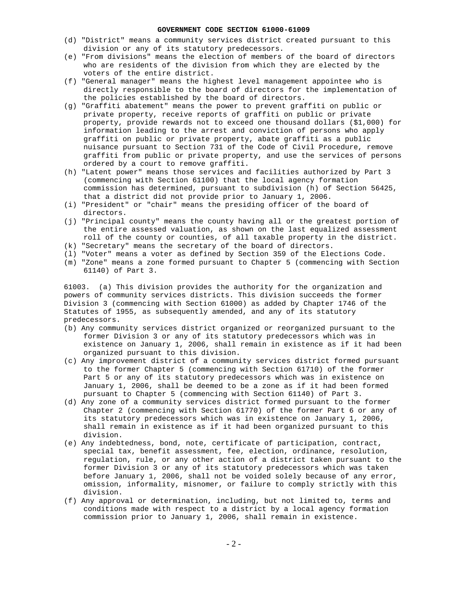- (d) "District" means a community services district created pursuant to this division or any of its statutory predecessors.
- (e) "From divisions" means the election of members of the board of directors who are residents of the division from which they are elected by the voters of the entire district.
- (f) "General manager" means the highest level management appointee who is directly responsible to the board of directors for the implementation of the policies established by the board of directors.
- (g) "Graffiti abatement" means the power to prevent graffiti on public or private property, receive reports of graffiti on public or private property, provide rewards not to exceed one thousand dollars (\$1,000) for information leading to the arrest and conviction of persons who apply graffiti on public or private property, abate graffiti as a public nuisance pursuant to Section 731 of the Code of Civil Procedure, remove graffiti from public or private property, and use the services of persons ordered by a court to remove graffiti.
- (h) "Latent power" means those services and facilities authorized by Part 3 (commencing with Section 61100) that the local agency formation commission has determined, pursuant to subdivision (h) of Section 56425, that a district did not provide prior to January 1, 2006.
- (i) "President" or "chair" means the presiding officer of the board of directors.
- (j) "Principal county" means the county having all or the greatest portion of the entire assessed valuation, as shown on the last equalized assessment roll of the county or counties, of all taxable property in the district.
- (k) "Secretary" means the secretary of the board of directors.
- (l) "Voter" means a voter as defined by Section 359 of the Elections Code.
- (m) "Zone" means a zone formed pursuant to Chapter 5 (commencing with Section 61140) of Part 3.

61003. (a) This division provides the authority for the organization and powers of community services districts. This division succeeds the former Division 3 (commencing with Section 61000) as added by Chapter 1746 of the Statutes of 1955, as subsequently amended, and any of its statutory predecessors.

- (b) Any community services district organized or reorganized pursuant to the former Division 3 or any of its statutory predecessors which was in existence on January 1, 2006, shall remain in existence as if it had been organized pursuant to this division.
- (c) Any improvement district of a community services district formed pursuant to the former Chapter 5 (commencing with Section 61710) of the former Part 5 or any of its statutory predecessors which was in existence on January 1, 2006, shall be deemed to be a zone as if it had been formed pursuant to Chapter 5 (commencing with Section 61140) of Part 3.
- (d) Any zone of a community services district formed pursuant to the former Chapter 2 (commencing with Section 61770) of the former Part 6 or any of its statutory predecessors which was in existence on January 1, 2006, shall remain in existence as if it had been organized pursuant to this division.
- (e) Any indebtedness, bond, note, certificate of participation, contract, special tax, benefit assessment, fee, election, ordinance, resolution, regulation, rule, or any other action of a district taken pursuant to the former Division 3 or any of its statutory predecessors which was taken before January 1, 2006, shall not be voided solely because of any error, omission, informality, misnomer, or failure to comply strictly with this division.
- (f) Any approval or determination, including, but not limited to, terms and conditions made with respect to a district by a local agency formation commission prior to January 1, 2006, shall remain in existence.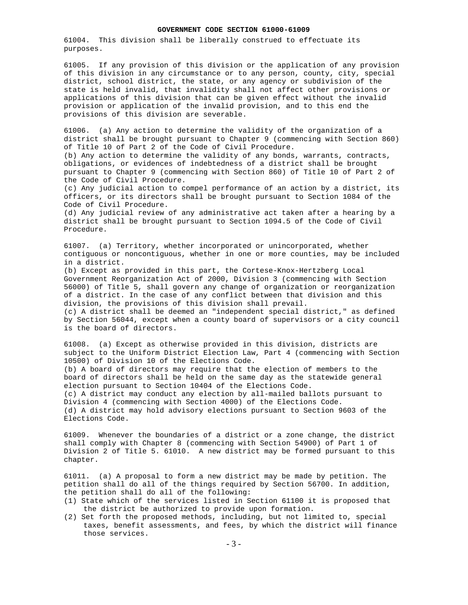61004. This division shall be liberally construed to effectuate its purposes.

61005. If any provision of this division or the application of any provision of this division in any circumstance or to any person, county, city, special district, school district, the state, or any agency or subdivision of the state is held invalid, that invalidity shall not affect other provisions or applications of this division that can be given effect without the invalid provision or application of the invalid provision, and to this end the provisions of this division are severable.

61006. (a) Any action to determine the validity of the organization of a district shall be brought pursuant to Chapter 9 (commencing with Section 860) of Title 10 of Part 2 of the Code of Civil Procedure.

(b) Any action to determine the validity of any bonds, warrants, contracts, obligations, or evidences of indebtedness of a district shall be brought pursuant to Chapter 9 (commencing with Section 860) of Title 10 of Part 2 of the Code of Civil Procedure.

(c) Any judicial action to compel performance of an action by a district, its officers, or its directors shall be brought pursuant to Section 1084 of the Code of Civil Procedure.

(d) Any judicial review of any administrative act taken after a hearing by a district shall be brought pursuant to Section 1094.5 of the Code of Civil Procedure.

61007. (a) Territory, whether incorporated or unincorporated, whether contiguous or noncontiguous, whether in one or more counties, may be included in a district.

(b) Except as provided in this part, the Cortese-Knox-Hertzberg Local Government Reorganization Act of 2000, Division 3 (commencing with Section 56000) of Title 5, shall govern any change of organization or reorganization of a district. In the case of any conflict between that division and this division, the provisions of this division shall prevail.

(c) A district shall be deemed an "independent special district," as defined by Section 56044, except when a county board of supervisors or a city council is the board of directors.

61008. (a) Except as otherwise provided in this division, districts are subject to the Uniform District Election Law, Part 4 (commencing with Section 10500) of Division 10 of the Elections Code.

(b) A board of directors may require that the election of members to the board of directors shall be held on the same day as the statewide general election pursuant to Section 10404 of the Elections Code.

(c) A district may conduct any election by all-mailed ballots pursuant to Division 4 (commencing with Section 4000) of the Elections Code. (d) A district may hold advisory elections pursuant to Section 9603 of the Elections Code.

61009. Whenever the boundaries of a district or a zone change, the district shall comply with Chapter 8 (commencing with Section 54900) of Part 1 of Division 2 of Title 5. 61010. A new district may be formed pursuant to this chapter.

61011. (a) A proposal to form a new district may be made by petition. The petition shall do all of the things required by Section 56700. In addition, the petition shall do all of the following:

- (1) State which of the services listed in Section 61100 it is proposed that the district be authorized to provide upon formation.
- (2) Set forth the proposed methods, including, but not limited to, special taxes, benefit assessments, and fees, by which the district will finance those services.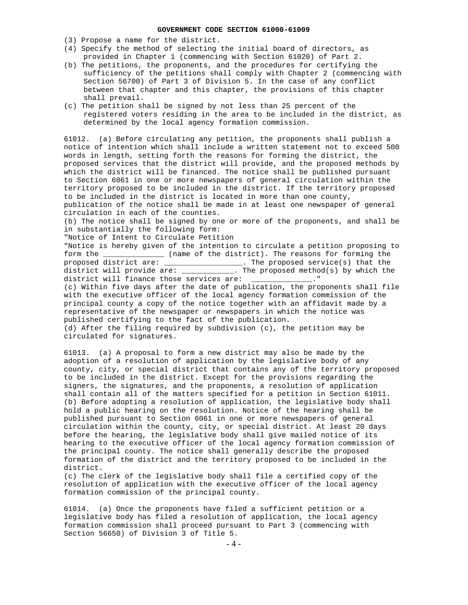- (3) Propose a name for the district.
- (4) Specify the method of selecting the initial board of directors, as provided in Chapter 1 (commencing with Section 61020) of Part 2.
- (b) The petitions, the proponents, and the procedures for certifying the sufficiency of the petitions shall comply with Chapter 2 (commencing with Section 56700) of Part 3 of Division 5. In the case of any conflict between that chapter and this chapter, the provisions of this chapter shall prevail.
- (c) The petition shall be signed by not less than 25 percent of the registered voters residing in the area to be included in the district, as determined by the local agency formation commission.

61012. (a) Before circulating any petition, the proponents shall publish a notice of intention which shall include a written statement not to exceed 500 words in length, setting forth the reasons for forming the district, the proposed services that the district will provide, and the proposed methods by which the district will be financed. The notice shall be published pursuant to Section 6061 in one or more newspapers of general circulation within the territory proposed to be included in the district. If the territory proposed to be included in the district is located in more than one county, publication of the notice shall be made in at least one newspaper of general circulation in each of the counties.

(b) The notice shall be signed by one or more of the proponents, and shall be in substantially the following form:

"Notice of Intent to Circulate Petition

"Notice is hereby given of the intention to circulate a petition proposing to form the \_\_\_\_\_\_\_\_\_\_\_\_\_\_ (name of the district). The reasons for forming the form the \_\_\_\_\_\_\_\_\_\_\_\_\_\_ (name of the district). The reasons for forming the proposed district are: \_\_\_\_\_\_\_\_\_\_\_\_\_\_. The proposed service(s) that the proposed district are: \_\_\_\_\_\_\_\_\_\_\_\_\_\_\_\_\_\_. The proposed service(s) that the district will provide are: \_\_\_\_\_\_\_\_\_\_\_\_. The proposed method(s) by which the district will finance those services are: \_\_\_\_\_\_\_\_\_\_\_\_\_\_." (c) Within five days after the date of publication, the proponents shall file with the executive officer of the local agency formation commission of the principal county a copy of the notice together with an affidavit made by a representative of the newspaper or newspapers in which the notice was published certifying to the fact of the publication. (d) After the filing required by subdivision (c), the petition may be circulated for signatures.

61013. (a) A proposal to form a new district may also be made by the adoption of a resolution of application by the legislative body of any county, city, or special district that contains any of the territory proposed to be included in the district. Except for the provisions regarding the signers, the signatures, and the proponents, a resolution of application shall contain all of the matters specified for a petition in Section 61011. (b) Before adopting a resolution of application, the legislative body shall hold a public hearing on the resolution. Notice of the hearing shall be published pursuant to Section 6061 in one or more newspapers of general circulation within the county, city, or special district. At least 20 days before the hearing, the legislative body shall give mailed notice of its hearing to the executive officer of the local agency formation commission of the principal county. The notice shall generally describe the proposed formation of the district and the territory proposed to be included in the district.

(c) The clerk of the legislative body shall file a certified copy of the resolution of application with the executive officer of the local agency formation commission of the principal county.

61014. (a) Once the proponents have filed a sufficient petition or a legislative body has filed a resolution of application, the local agency formation commission shall proceed pursuant to Part 3 (commencing with Section 56650) of Division 3 of Title 5.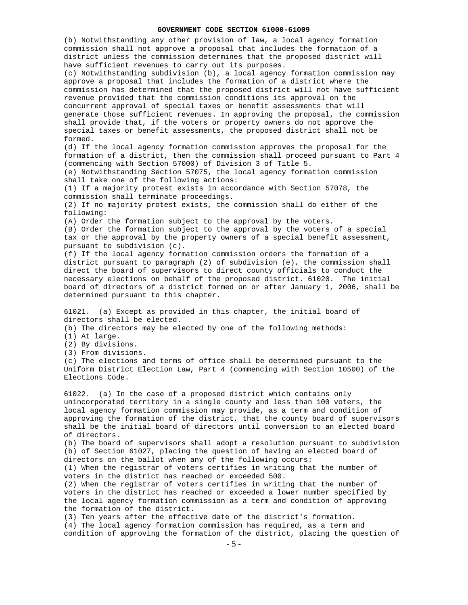(b) Notwithstanding any other provision of law, a local agency formation commission shall not approve a proposal that includes the formation of a district unless the commission determines that the proposed district will have sufficient revenues to carry out its purposes. (c) Notwithstanding subdivision (b), a local agency formation commission may approve a proposal that includes the formation of a district where the commission has determined that the proposed district will not have sufficient revenue provided that the commission conditions its approval on the concurrent approval of special taxes or benefit assessments that will generate those sufficient revenues. In approving the proposal, the commission shall provide that, if the voters or property owners do not approve the special taxes or benefit assessments, the proposed district shall not be formed. (d) If the local agency formation commission approves the proposal for the formation of a district, then the commission shall proceed pursuant to Part 4 (commencing with Section 57000) of Division 3 of Title 5. (e) Notwithstanding Section 57075, the local agency formation commission shall take one of the following actions: (1) If a majority protest exists in accordance with Section 57078, the commission shall terminate proceedings. (2) If no majority protest exists, the commission shall do either of the following: (A) Order the formation subject to the approval by the voters. (B) Order the formation subject to the approval by the voters of a special tax or the approval by the property owners of a special benefit assessment, pursuant to subdivision (c). (f) If the local agency formation commission orders the formation of a district pursuant to paragraph (2) of subdivision (e), the commission shall direct the board of supervisors to direct county officials to conduct the necessary elections on behalf of the proposed district. 61020. The initial board of directors of a district formed on or after January 1, 2006, shall be determined pursuant to this chapter. 61021. (a) Except as provided in this chapter, the initial board of directors shall be elected. (b) The directors may be elected by one of the following methods: (1) At large. (2) By divisions. (3) From divisions. (c) The elections and terms of office shall be determined pursuant to the Uniform District Election Law, Part 4 (commencing with Section 10500) of the Elections Code. 61022. (a) In the case of a proposed district which contains only unincorporated territory in a single county and less than 100 voters, the local agency formation commission may provide, as a term and condition of approving the formation of the district, that the county board of supervisors shall be the initial board of directors until conversion to an elected board of directors. (b) The board of supervisors shall adopt a resolution pursuant to subdivision (b) of Section 61027, placing the question of having an elected board of directors on the ballot when any of the following occurs: (1) When the registrar of voters certifies in writing that the number of voters in the district has reached or exceeded 500. (2) When the registrar of voters certifies in writing that the number of voters in the district has reached or exceeded a lower number specified by the local agency formation commission as a term and condition of approving the formation of the district. (3) Ten years after the effective date of the district's formation. (4) The local agency formation commission has required, as a term and condition of approving the formation of the district, placing the question of

- 5 -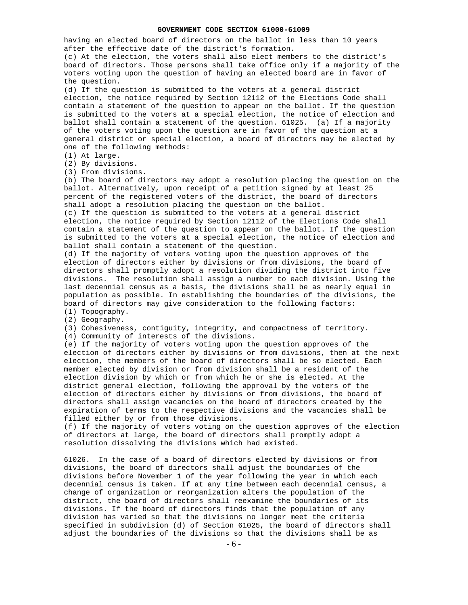having an elected board of directors on the ballot in less than 10 years after the effective date of the district's formation.

(c) At the election, the voters shall also elect members to the district's board of directors. Those persons shall take office only if a majority of the voters voting upon the question of having an elected board are in favor of the question.

(d) If the question is submitted to the voters at a general district election, the notice required by Section 12112 of the Elections Code shall contain a statement of the question to appear on the ballot. If the question is submitted to the voters at a special election, the notice of election and ballot shall contain a statement of the question. 61025. (a) If a majority of the voters voting upon the question are in favor of the question at a general district or special election, a board of directors may be elected by one of the following methods:

(1) At large.

(2) By divisions.

(3) From divisions.

(b) The board of directors may adopt a resolution placing the question on the ballot. Alternatively, upon receipt of a petition signed by at least 25 percent of the registered voters of the district, the board of directors shall adopt a resolution placing the question on the ballot.

(c) If the question is submitted to the voters at a general district election, the notice required by Section 12112 of the Elections Code shall contain a statement of the question to appear on the ballot. If the question is submitted to the voters at a special election, the notice of election and ballot shall contain a statement of the question.

(d) If the majority of voters voting upon the question approves of the election of directors either by divisions or from divisions, the board of directors shall promptly adopt a resolution dividing the district into five divisions. The resolution shall assign a number to each division. Using the last decennial census as a basis, the divisions shall be as nearly equal in population as possible. In establishing the boundaries of the divisions, the board of directors may give consideration to the following factors: (1) Topography.

(2) Geography.

(3) Cohesiveness, contiguity, integrity, and compactness of territory.

(4) Community of interests of the divisions.

(e) If the majority of voters voting upon the question approves of the election of directors either by divisions or from divisions, then at the next election, the members of the board of directors shall be so elected. Each member elected by division or from division shall be a resident of the election division by which or from which he or she is elected. At the district general election, following the approval by the voters of the election of directors either by divisions or from divisions, the board of directors shall assign vacancies on the board of directors created by the expiration of terms to the respective divisions and the vacancies shall be filled either by or from those divisions.

(f) If the majority of voters voting on the question approves of the election of directors at large, the board of directors shall promptly adopt a resolution dissolving the divisions which had existed.

61026. In the case of a board of directors elected by divisions or from divisions, the board of directors shall adjust the boundaries of the divisions before November 1 of the year following the year in which each decennial census is taken. If at any time between each decennial census, a change of organization or reorganization alters the population of the district, the board of directors shall reexamine the boundaries of its divisions. If the board of directors finds that the population of any division has varied so that the divisions no longer meet the criteria specified in subdivision (d) of Section 61025, the board of directors shall adjust the boundaries of the divisions so that the divisions shall be as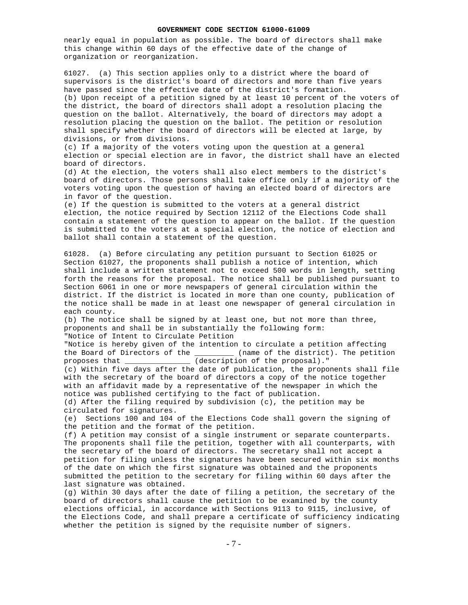nearly equal in population as possible. The board of directors shall make this change within 60 days of the effective date of the change of organization or reorganization.

61027. (a) This section applies only to a district where the board of supervisors is the district's board of directors and more than five years have passed since the effective date of the district's formation. (b) Upon receipt of a petition signed by at least 10 percent of the voters of the district, the board of directors shall adopt a resolution placing the question on the ballot. Alternatively, the board of directors may adopt a resolution placing the question on the ballot. The petition or resolution shall specify whether the board of directors will be elected at large, by divisions, or from divisions.

(c) If a majority of the voters voting upon the question at a general election or special election are in favor, the district shall have an elected board of directors.

(d) At the election, the voters shall also elect members to the district's board of directors. Those persons shall take office only if a majority of the voters voting upon the question of having an elected board of directors are in favor of the question.

(e) If the question is submitted to the voters at a general district election, the notice required by Section 12112 of the Elections Code shall contain a statement of the question to appear on the ballot. If the question is submitted to the voters at a special election, the notice of election and ballot shall contain a statement of the question.

61028. (a) Before circulating any petition pursuant to Section 61025 or Section 61027, the proponents shall publish a notice of intention, which shall include a written statement not to exceed 500 words in length, setting forth the reasons for the proposal. The notice shall be published pursuant to Section 6061 in one or more newspapers of general circulation within the district. If the district is located in more than one county, publication of the notice shall be made in at least one newspaper of general circulation in each county.

(b) The notice shall be signed by at least one, but not more than three, proponents and shall be in substantially the following form: "Notice of Intent to Circulate Petition

"Notice is hereby given of the intention to circulate a petition affecting<br>the Board of Directors of the \_\_\_\_\_\_\_\_\_\_ (name of the district). The petition  $t$  (name of the district). The petition proposes that \_\_\_\_\_\_\_\_\_\_\_\_\_\_\_ (description of the proposal)."

(c) Within five days after the date of publication, the proponents shall file with the secretary of the board of directors a copy of the notice together with an affidavit made by a representative of the newspaper in which the notice was published certifying to the fact of publication.

(d) After the filing required by subdivision (c), the petition may be circulated for signatures.

(e) Sections 100 and 104 of the Elections Code shall govern the signing of the petition and the format of the petition.

(f) A petition may consist of a single instrument or separate counterparts. The proponents shall file the petition, together with all counterparts, with the secretary of the board of directors. The secretary shall not accept a petition for filing unless the signatures have been secured within six months of the date on which the first signature was obtained and the proponents submitted the petition to the secretary for filing within 60 days after the last signature was obtained.

(g) Within 30 days after the date of filing a petition, the secretary of the board of directors shall cause the petition to be examined by the county elections official, in accordance with Sections 9113 to 9115, inclusive, of the Elections Code, and shall prepare a certificate of sufficiency indicating whether the petition is signed by the requisite number of signers.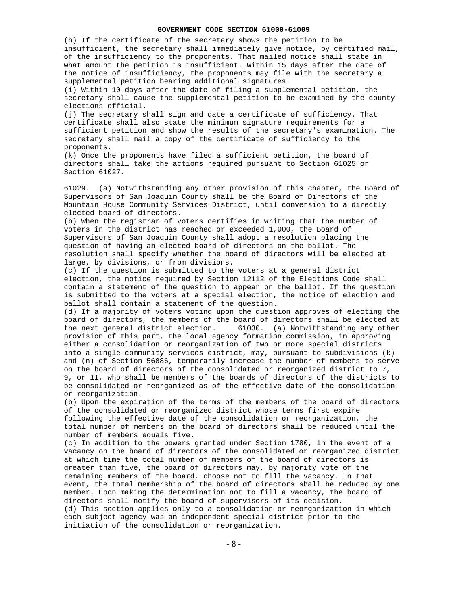(h) If the certificate of the secretary shows the petition to be insufficient, the secretary shall immediately give notice, by certified mail, of the insufficiency to the proponents. That mailed notice shall state in what amount the petition is insufficient. Within 15 days after the date of the notice of insufficiency, the proponents may file with the secretary a supplemental petition bearing additional signatures.

(i) Within 10 days after the date of filing a supplemental petition, the secretary shall cause the supplemental petition to be examined by the county elections official.

(j) The secretary shall sign and date a certificate of sufficiency. That certificate shall also state the minimum signature requirements for a sufficient petition and show the results of the secretary's examination. The secretary shall mail a copy of the certificate of sufficiency to the proponents.

(k) Once the proponents have filed a sufficient petition, the board of directors shall take the actions required pursuant to Section 61025 or Section 61027.

61029. (a) Notwithstanding any other provision of this chapter, the Board of Supervisors of San Joaquin County shall be the Board of Directors of the Mountain House Community Services District, until conversion to a directly elected board of directors.

(b) When the registrar of voters certifies in writing that the number of voters in the district has reached or exceeded 1,000, the Board of Supervisors of San Joaquin County shall adopt a resolution placing the question of having an elected board of directors on the ballot. The resolution shall specify whether the board of directors will be elected at large, by divisions, or from divisions.

(c) If the question is submitted to the voters at a general district election, the notice required by Section 12112 of the Elections Code shall contain a statement of the question to appear on the ballot. If the question is submitted to the voters at a special election, the notice of election and ballot shall contain a statement of the question.

(d) If a majority of voters voting upon the question approves of electing the board of directors, the members of the board of directors shall be elected at the next general district election. 61030. (a) Notwithstanding any other provision of this part, the local agency formation commission, in approving either a consolidation or reorganization of two or more special districts into a single community services district, may, pursuant to subdivisions (k) and (n) of Section 56886, temporarily increase the number of members to serve on the board of directors of the consolidated or reorganized district to 7, 9, or 11, who shall be members of the boards of directors of the districts to be consolidated or reorganized as of the effective date of the consolidation or reorganization.

(b) Upon the expiration of the terms of the members of the board of directors of the consolidated or reorganized district whose terms first expire following the effective date of the consolidation or reorganization, the total number of members on the board of directors shall be reduced until the number of members equals five.

(c) In addition to the powers granted under Section 1780, in the event of a vacancy on the board of directors of the consolidated or reorganized district at which time the total number of members of the board of directors is greater than five, the board of directors may, by majority vote of the remaining members of the board, choose not to fill the vacancy. In that event, the total membership of the board of directors shall be reduced by one member. Upon making the determination not to fill a vacancy, the board of directors shall notify the board of supervisors of its decision. (d) This section applies only to a consolidation or reorganization in which each subject agency was an independent special district prior to the initiation of the consolidation or reorganization.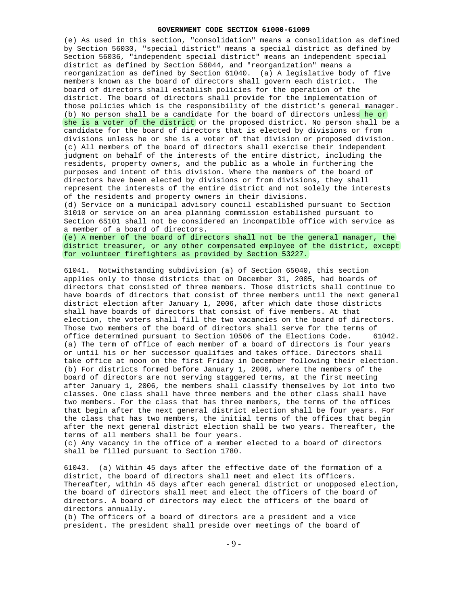(e) As used in this section, "consolidation" means a consolidation as defined by Section 56030, "special district" means a special district as defined by Section 56036, "independent special district" means an independent special district as defined by Section 56044, and "reorganization" means a reorganization as defined by Section 61040. (a) A legislative body of five members known as the board of directors shall govern each district. The board of directors shall establish policies for the operation of the district. The board of directors shall provide for the implementation of those policies which is the responsibility of the district's general manager. (b) No person shall be a candidate for the board of directors unless he or she is a voter of the district or the proposed district. No person shall be a candidate for the board of directors that is elected by divisions or from divisions unless he or she is a voter of that division or proposed division. (c) All members of the board of directors shall exercise their independent judgment on behalf of the interests of the entire district, including the residents, property owners, and the public as a whole in furthering the purposes and intent of this division. Where the members of the board of directors have been elected by divisions or from divisions, they shall represent the interests of the entire district and not solely the interests of the residents and property owners in their divisions.

(d) Service on a municipal advisory council established pursuant to Section 31010 or service on an area planning commission established pursuant to Section 65101 shall not be considered an incompatible office with service as a member of a board of directors.

(e) A member of the board of directors shall not be the general manager, the district treasurer, or any other compensated employee of the district, except for volunteer firefighters as provided by Section 53227.

61041. Notwithstanding subdivision (a) of Section 65040, this section applies only to those districts that on December 31, 2005, had boards of directors that consisted of three members. Those districts shall continue to have boards of directors that consist of three members until the next general district election after January 1, 2006, after which date those districts shall have boards of directors that consist of five members. At that election, the voters shall fill the two vacancies on the board of directors. Those two members of the board of directors shall serve for the terms of office determined pursuant to Section 10506 of the Elections Code. 61042. (a) The term of office of each member of a board of directors is four years or until his or her successor qualifies and takes office. Directors shall take office at noon on the first Friday in December following their election. (b) For districts formed before January 1, 2006, where the members of the board of directors are not serving staggered terms, at the first meeting after January 1, 2006, the members shall classify themselves by lot into two classes. One class shall have three members and the other class shall have two members. For the class that has three members, the terms of the offices that begin after the next general district election shall be four years. For the class that has two members, the initial terms of the offices that begin after the next general district election shall be two years. Thereafter, the terms of all members shall be four years.

(c) Any vacancy in the office of a member elected to a board of directors shall be filled pursuant to Section 1780.

61043. (a) Within 45 days after the effective date of the formation of a district, the board of directors shall meet and elect its officers. Thereafter, within 45 days after each general district or unopposed election, the board of directors shall meet and elect the officers of the board of directors. A board of directors may elect the officers of the board of directors annually.

(b) The officers of a board of directors are a president and a vice president. The president shall preside over meetings of the board of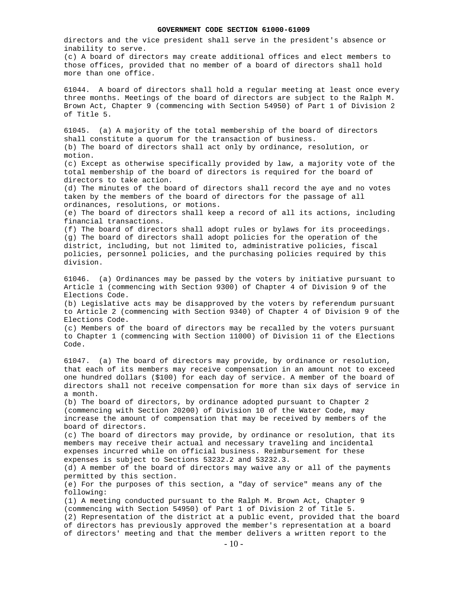- 10 directors and the vice president shall serve in the president's absence or inability to serve. (c) A board of directors may create additional offices and elect members to those offices, provided that no member of a board of directors shall hold more than one office. 61044. A board of directors shall hold a regular meeting at least once every three months. Meetings of the board of directors are subject to the Ralph M. Brown Act, Chapter 9 (commencing with Section 54950) of Part 1 of Division 2 of Title 5. 61045. (a) A majority of the total membership of the board of directors shall constitute a quorum for the transaction of business. (b) The board of directors shall act only by ordinance, resolution, or motion. (c) Except as otherwise specifically provided by law, a majority vote of the total membership of the board of directors is required for the board of directors to take action. (d) The minutes of the board of directors shall record the aye and no votes taken by the members of the board of directors for the passage of all ordinances, resolutions, or motions. (e) The board of directors shall keep a record of all its actions, including financial transactions. (f) The board of directors shall adopt rules or bylaws for its proceedings. (g) The board of directors shall adopt policies for the operation of the district, including, but not limited to, administrative policies, fiscal policies, personnel policies, and the purchasing policies required by this division. 61046. (a) Ordinances may be passed by the voters by initiative pursuant to Article 1 (commencing with Section 9300) of Chapter 4 of Division 9 of the Elections Code. (b) Legislative acts may be disapproved by the voters by referendum pursuant to Article 2 (commencing with Section 9340) of Chapter 4 of Division 9 of the Elections Code. (c) Members of the board of directors may be recalled by the voters pursuant to Chapter 1 (commencing with Section 11000) of Division 11 of the Elections Code. 61047. (a) The board of directors may provide, by ordinance or resolution, that each of its members may receive compensation in an amount not to exceed one hundred dollars (\$100) for each day of service. A member of the board of directors shall not receive compensation for more than six days of service in a month. (b) The board of directors, by ordinance adopted pursuant to Chapter 2 (commencing with Section 20200) of Division 10 of the Water Code, may increase the amount of compensation that may be received by members of the board of directors. (c) The board of directors may provide, by ordinance or resolution, that its members may receive their actual and necessary traveling and incidental expenses incurred while on official business. Reimbursement for these expenses is subject to Sections 53232.2 and 53232.3. (d) A member of the board of directors may waive any or all of the payments permitted by this section. (e) For the purposes of this section, a "day of service" means any of the following: (1) A meeting conducted pursuant to the Ralph M. Brown Act, Chapter 9 (commencing with Section 54950) of Part 1 of Division 2 of Title 5. (2) Representation of the district at a public event, provided that the board of directors has previously approved the member's representation at a board of directors' meeting and that the member delivers a written report to the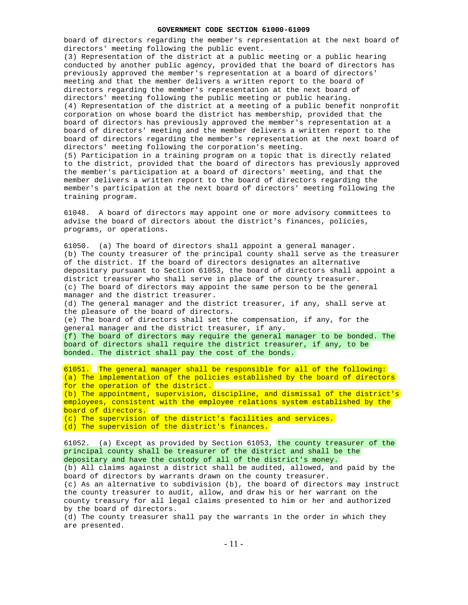board of directors regarding the member's representation at the next board of directors' meeting following the public event. (3) Representation of the district at a public meeting or a public hearing conducted by another public agency, provided that the board of directors has previously approved the member's representation at a board of directors' meeting and that the member delivers a written report to the board of directors regarding the member's representation at the next board of directors' meeting following the public meeting or public hearing. (4) Representation of the district at a meeting of a public benefit nonprofit corporation on whose board the district has membership, provided that the board of directors has previously approved the member's representation at a board of directors' meeting and the member delivers a written report to the board of directors regarding the member's representation at the next board of directors' meeting following the corporation's meeting. (5) Participation in a training program on a topic that is directly related to the district, provided that the board of directors has previously approved

the member's participation at a board of directors' meeting, and that the member delivers a written report to the board of directors regarding the member's participation at the next board of directors' meeting following the training program.

61048. A board of directors may appoint one or more advisory committees to advise the board of directors about the district's finances, policies, programs, or operations.

61050. (a) The board of directors shall appoint a general manager. (b) The county treasurer of the principal county shall serve as the treasurer of the district. If the board of directors designates an alternative depositary pursuant to Section 61053, the board of directors shall appoint a district treasurer who shall serve in place of the county treasurer. (c) The board of directors may appoint the same person to be the general manager and the district treasurer. (d) The general manager and the district treasurer, if any, shall serve at the pleasure of the board of directors. (e) The board of directors shall set the compensation, if any, for the general manager and the district treasurer, if any. (f) The board of directors may require the general manager to be bonded. The board of directors shall require the district treasurer, if any, to be bonded. The district shall pay the cost of the bonds.

61051. The general manager shall be responsible for all of the following: (a) The implementation of the policies established by the board of directors for the operation of the district. (b) The appointment, supervision, discipline, and dismissal of the district's employees, consistent with the employee relations system established by the board of directors. (c) The supervision of the district's facilities and services. (d) The supervision of the district's finances.

61052. (a) Except as provided by Section 61053, the county treasurer of the principal county shall be treasurer of the district and shall be the depositary and have the custody of all of the district's money. (b) All claims against a district shall be audited, allowed, and paid by the board of directors by warrants drawn on the county treasurer. (c) As an alternative to subdivision (b), the board of directors may instruct the county treasurer to audit, allow, and draw his or her warrant on the county treasury for all legal claims presented to him or her and authorized by the board of directors. (d) The county treasurer shall pay the warrants in the order in which they

are presented.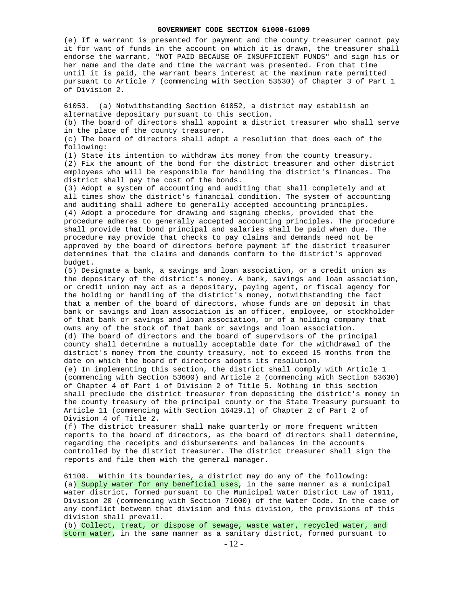(e) If a warrant is presented for payment and the county treasurer cannot pay it for want of funds in the account on which it is drawn, the treasurer shall endorse the warrant, "NOT PAID BECAUSE OF INSUFFICIENT FUNDS" and sign his or her name and the date and time the warrant was presented. From that time until it is paid, the warrant bears interest at the maximum rate permitted pursuant to Article 7 (commencing with Section 53530) of Chapter 3 of Part 1 of Division 2.

61053. (a) Notwithstanding Section 61052, a district may establish an alternative depositary pursuant to this section.

(b) The board of directors shall appoint a district treasurer who shall serve in the place of the county treasurer.

(c) The board of directors shall adopt a resolution that does each of the following:

(1) State its intention to withdraw its money from the county treasury. (2) Fix the amount of the bond for the district treasurer and other district employees who will be responsible for handling the district's finances. The district shall pay the cost of the bonds.

(3) Adopt a system of accounting and auditing that shall completely and at all times show the district's financial condition. The system of accounting and auditing shall adhere to generally accepted accounting principles. (4) Adopt a procedure for drawing and signing checks, provided that the procedure adheres to generally accepted accounting principles. The procedure shall provide that bond principal and salaries shall be paid when due. The procedure may provide that checks to pay claims and demands need not be approved by the board of directors before payment if the district treasurer determines that the claims and demands conform to the district's approved budget.

(5) Designate a bank, a savings and loan association, or a credit union as the depositary of the district's money. A bank, savings and loan association, or credit union may act as a depositary, paying agent, or fiscal agency for the holding or handling of the district's money, notwithstanding the fact that a member of the board of directors, whose funds are on deposit in that bank or savings and loan association is an officer, employee, or stockholder of that bank or savings and loan association, or of a holding company that owns any of the stock of that bank or savings and loan association. (d) The board of directors and the board of supervisors of the principal county shall determine a mutually acceptable date for the withdrawal of the district's money from the county treasury, not to exceed 15 months from the date on which the board of directors adopts its resolution.

(e) In implementing this section, the district shall comply with Article 1 (commencing with Section 53600) and Article 2 (commencing with Section 53630) of Chapter 4 of Part 1 of Division 2 of Title 5. Nothing in this section shall preclude the district treasurer from depositing the district's money in the county treasury of the principal county or the State Treasury pursuant to Article 11 (commencing with Section 16429.1) of Chapter 2 of Part 2 of Division 4 of Title 2.

(f) The district treasurer shall make quarterly or more frequent written reports to the board of directors, as the board of directors shall determine, regarding the receipts and disbursements and balances in the accounts controlled by the district treasurer. The district treasurer shall sign the reports and file them with the general manager.

61100. Within its boundaries, a district may do any of the following: (a) Supply water for any beneficial uses, in the same manner as a municipal water district, formed pursuant to the Municipal Water District Law of 1911, Division 20 (commencing with Section 71000) of the Water Code. In the case of any conflict between that division and this division, the provisions of this division shall prevail.

(b) Collect, treat, or dispose of sewage, waste water, recycled water, and storm water, in the same manner as a sanitary district, formed pursuant to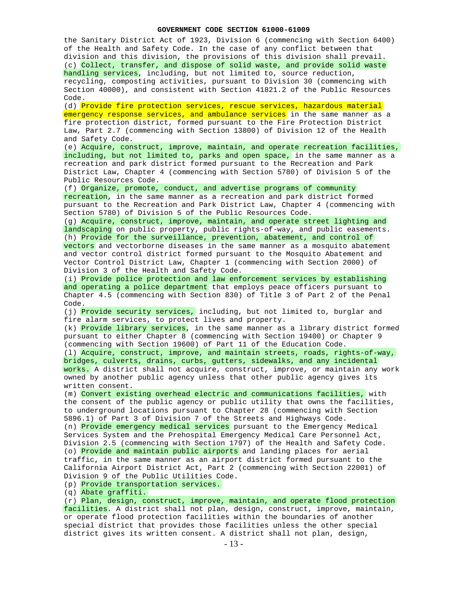the Sanitary District Act of 1923, Division 6 (commencing with Section 6400) of the Health and Safety Code. In the case of any conflict between that division and this division, the provisions of this division shall prevail. (c) Collect, transfer, and dispose of solid waste, and provide solid waste handling services, including, but not limited to, source reduction, recycling, composting activities, pursuant to Division 30 (commencing with Section 40000), and consistent with Section 41821.2 of the Public Resources Code. (d) Provide fire protection services, rescue services, hazardous material emergency response services, and ambulance services in the same manner as a fire protection district, formed pursuant to the Fire Protection District Law, Part 2.7 (commencing with Section 13800) of Division 12 of the Health and Safety Code. (e) Acquire, construct, improve, maintain, and operate recreation facilities, including, but not limited to, parks and open space, in the same manner as a recreation and park district formed pursuant to the Recreation and Park District Law, Chapter 4 (commencing with Section 5780) of Division 5 of the Public Resources Code. (f) Organize, promote, conduct, and advertise programs of community recreation, in the same manner as a recreation and park district formed pursuant to the Recreation and Park District Law, Chapter 4 (commencing with Section 5780) of Division 5 of the Public Resources Code. (g) Acquire, construct, improve, maintain, and operate street lighting and landscaping on public property, public rights-of-way, and public easements. (h) Provide for the surveillance, prevention, abatement, and control of vectors and vectorborne diseases in the same manner as a mosquito abatement and vector control district formed pursuant to the Mosquito Abatement and Vector Control District Law, Chapter 1 (commencing with Section 2000) of Division 3 of the Health and Safety Code. (i) Provide police protection and law enforcement services by establishing and operating a police department that employs peace officers pursuant to Chapter 4.5 (commencing with Section 830) of Title 3 of Part 2 of the Penal Code. (j) Provide security services, including, but not limited to, burglar and fire alarm services, to protect lives and property. (k) Provide library services, in the same manner as a library district formed pursuant to either Chapter 8 (commencing with Section 19400) or Chapter 9 (commencing with Section 19600) of Part 11 of the Education Code. (l) Acquire, construct, improve, and maintain streets, roads, rights-of-way, bridges, culverts, drains, curbs, gutters, sidewalks, and any incidental works. A district shall not acquire, construct, improve, or maintain any work owned by another public agency unless that other public agency gives its written consent. (m) Convert existing overhead electric and communications facilities, with the consent of the public agency or public utility that owns the facilities, to underground locations pursuant to Chapter 28 (commencing with Section 5896.1) of Part 3 of Division 7 of the Streets and Highways Code. (n) Provide emergency medical services pursuant to the Emergency Medical Services System and the Prehospital Emergency Medical Care Personnel Act, Division 2.5 (commencing with Section 1797) of the Health and Safety Code. (o) Provide and maintain public airports and landing places for aerial traffic, in the same manner as an airport district formed pursuant to the California Airport District Act, Part 2 (commencing with Section 22001) of Division 9 of the Public Utilities Code. (p) Provide transportation services. (q) Abate graffiti. (r) Plan, design, construct, improve, maintain, and operate flood protection facilities. A district shall not plan, design, construct, improve, maintain,

or operate flood protection facilities within the boundaries of another special district that provides those facilities unless the other special district gives its written consent. A district shall not plan, design,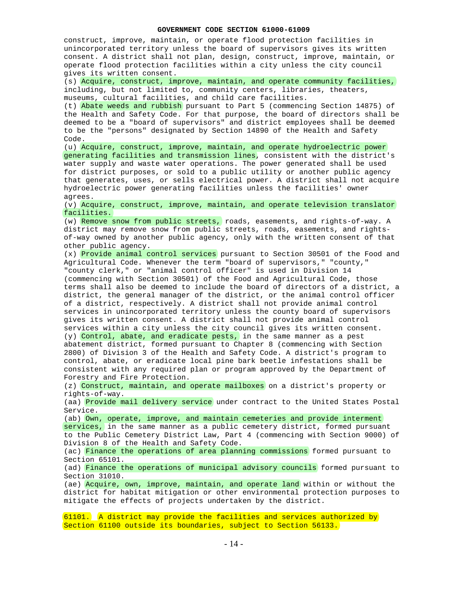construct, improve, maintain, or operate flood protection facilities in unincorporated territory unless the board of supervisors gives its written consent. A district shall not plan, design, construct, improve, maintain, or operate flood protection facilities within a city unless the city council gives its written consent. (s) Acquire, construct, improve, maintain, and operate community facilities, including, but not limited to, community centers, libraries, theaters, museums, cultural facilities, and child care facilities. (t) Abate weeds and rubbish pursuant to Part 5 (commencing Section 14875) of the Health and Safety Code. For that purpose, the board of directors shall be deemed to be a "board of supervisors" and district employees shall be deemed to be the "persons" designated by Section 14890 of the Health and Safety Code. (u) Acquire, construct, improve, maintain, and operate hydroelectric power generating facilities and transmission lines, consistent with the district's water supply and waste water operations. The power generated shall be used for district purposes, or sold to a public utility or another public agency that generates, uses, or sells electrical power. A district shall not acquire hydroelectric power generating facilities unless the facilities' owner agrees. (v) Acquire, construct, improve, maintain, and operate television translator facilities. (w) Remove snow from public streets, roads, easements, and rights-of-way. A district may remove snow from public streets, roads, easements, and rightsof-way owned by another public agency, only with the written consent of that other public agency. (x) Provide animal control services pursuant to Section 30501 of the Food and Agricultural Code. Whenever the term "board of supervisors," "county," "county clerk," or "animal control officer" is used in Division 14 (commencing with Section 30501) of the Food and Agricultural Code, those terms shall also be deemed to include the board of directors of a district, a district, the general manager of the district, or the animal control officer of a district, respectively. A district shall not provide animal control services in unincorporated territory unless the county board of supervisors gives its written consent. A district shall not provide animal control services within a city unless the city council gives its written consent. (y) Control, abate, and eradicate pests, in the same manner as a pest abatement district, formed pursuant to Chapter 8 (commencing with Section 2800) of Division 3 of the Health and Safety Code. A district's program to control, abate, or eradicate local pine bark beetle infestations shall be consistent with any required plan or program approved by the Department of Forestry and Fire Protection. (z) Construct, maintain, and operate mailboxes on a district's property or rights-of-way. (aa) Provide mail delivery service under contract to the United States Postal Service. (ab) Own, operate, improve, and maintain cemeteries and provide interment services, in the same manner as a public cemetery district, formed pursuant to the Public Cemetery District Law, Part 4 (commencing with Section 9000) of Division 8 of the Health and Safety Code. (ac) Finance the operations of area planning commissions formed pursuant to Section 65101. (ad) Finance the operations of municipal advisory councils formed pursuant to Section 31010. (ae) Acquire, own, improve, maintain, and operate land within or without the district for habitat mitigation or other environmental protection purposes to mitigate the effects of projects undertaken by the district. 61101. A district may provide the facilities and services authorized by

Section 61100 outside its boundaries, subject to Section 56133.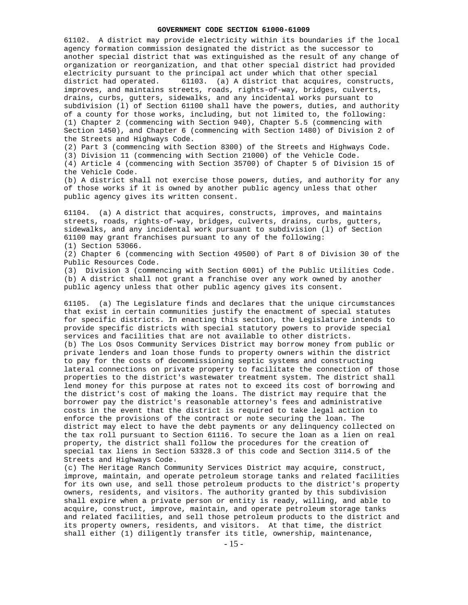61102. A district may provide electricity within its boundaries if the local agency formation commission designated the district as the successor to another special district that was extinguished as the result of any change of organization or reorganization, and that other special district had provided electricity pursuant to the principal act under which that other special district had operated. 61103. (a) A district that acquires, constructs, improves, and maintains streets, roads, rights-of-way, bridges, culverts, drains, curbs, gutters, sidewalks, and any incidental works pursuant to subdivision (l) of Section 61100 shall have the powers, duties, and authority of a county for those works, including, but not limited to, the following: (1) Chapter 2 (commencing with Section 940), Chapter 5.5 (commencing with Section 1450), and Chapter 6 (commencing with Section 1480) of Division 2 of the Streets and Highways Code.

(2) Part 3 (commencing with Section 8300) of the Streets and Highways Code.

(3) Division 11 (commencing with Section 21000) of the Vehicle Code.

(4) Article 4 (commencing with Section 35700) of Chapter 5 of Division 15 of the Vehicle Code.

(b) A district shall not exercise those powers, duties, and authority for any of those works if it is owned by another public agency unless that other public agency gives its written consent.

61104. (a) A district that acquires, constructs, improves, and maintains streets, roads, rights-of-way, bridges, culverts, drains, curbs, gutters, sidewalks, and any incidental work pursuant to subdivision (l) of Section 61100 may grant franchises pursuant to any of the following:

(1) Section 53066.

(2) Chapter 6 (commencing with Section 49500) of Part 8 of Division 30 of the Public Resources Code.

(3) Division 3 (commencing with Section 6001) of the Public Utilities Code. (b) A district shall not grant a franchise over any work owned by another public agency unless that other public agency gives its consent.

61105. (a) The Legislature finds and declares that the unique circumstances that exist in certain communities justify the enactment of special statutes for specific districts. In enacting this section, the Legislature intends to provide specific districts with special statutory powers to provide special services and facilities that are not available to other districts. (b) The Los Osos Community Services District may borrow money from public or private lenders and loan those funds to property owners within the district to pay for the costs of decommissioning septic systems and constructing lateral connections on private property to facilitate the connection of those properties to the district's wastewater treatment system. The district shall lend money for this purpose at rates not to exceed its cost of borrowing and the district's cost of making the loans. The district may require that the borrower pay the district's reasonable attorney's fees and administrative costs in the event that the district is required to take legal action to enforce the provisions of the contract or note securing the loan. The district may elect to have the debt payments or any delinquency collected on the tax roll pursuant to Section 61116. To secure the loan as a lien on real property, the district shall follow the procedures for the creation of special tax liens in Section 53328.3 of this code and Section 3114.5 of the Streets and Highways Code.

(c) The Heritage Ranch Community Services District may acquire, construct, improve, maintain, and operate petroleum storage tanks and related facilities for its own use, and sell those petroleum products to the district's property owners, residents, and visitors. The authority granted by this subdivision shall expire when a private person or entity is ready, willing, and able to acquire, construct, improve, maintain, and operate petroleum storage tanks and related facilities, and sell those petroleum products to the district and its property owners, residents, and visitors. At that time, the district shall either (1) diligently transfer its title, ownership, maintenance,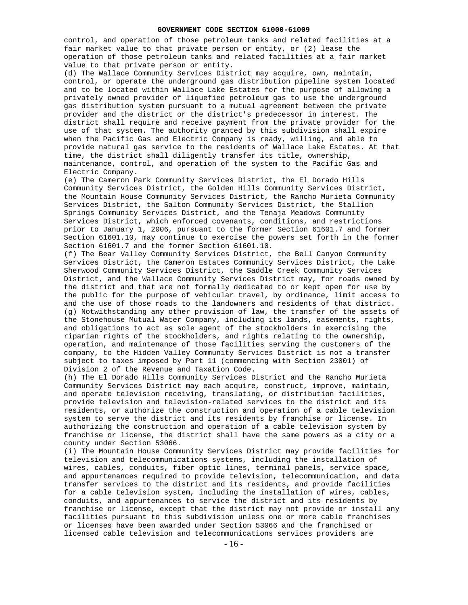control, and operation of those petroleum tanks and related facilities at a fair market value to that private person or entity, or (2) lease the operation of those petroleum tanks and related facilities at a fair market value to that private person or entity.

(d) The Wallace Community Services District may acquire, own, maintain, control, or operate the underground gas distribution pipeline system located and to be located within Wallace Lake Estates for the purpose of allowing a privately owned provider of liquefied petroleum gas to use the underground gas distribution system pursuant to a mutual agreement between the private provider and the district or the district's predecessor in interest. The district shall require and receive payment from the private provider for the use of that system. The authority granted by this subdivision shall expire when the Pacific Gas and Electric Company is ready, willing, and able to provide natural gas service to the residents of Wallace Lake Estates. At that time, the district shall diligently transfer its title, ownership, maintenance, control, and operation of the system to the Pacific Gas and Electric Company.

(e) The Cameron Park Community Services District, the El Dorado Hills Community Services District, the Golden Hills Community Services District, the Mountain House Community Services District, the Rancho Murieta Community Services District, the Salton Community Services District, the Stallion Springs Community Services District, and the Tenaja Meadows Community Services District, which enforced covenants, conditions, and restrictions prior to January 1, 2006, pursuant to the former Section 61601.7 and former Section 61601.10, may continue to exercise the powers set forth in the former Section 61601.7 and the former Section 61601.10.

(f) The Bear Valley Community Services District, the Bell Canyon Community Services District, the Cameron Estates Community Services District, the Lake Sherwood Community Services District, the Saddle Creek Community Services District, and the Wallace Community Services District may, for roads owned by the district and that are not formally dedicated to or kept open for use by the public for the purpose of vehicular travel, by ordinance, limit access to and the use of those roads to the landowners and residents of that district. (g) Notwithstanding any other provision of law, the transfer of the assets of the Stonehouse Mutual Water Company, including its lands, easements, rights, and obligations to act as sole agent of the stockholders in exercising the riparian rights of the stockholders, and rights relating to the ownership, operation, and maintenance of those facilities serving the customers of the company, to the Hidden Valley Community Services District is not a transfer subject to taxes imposed by Part 11 (commencing with Section 23001) of Division 2 of the Revenue and Taxation Code.

(h) The El Dorado Hills Community Services District and the Rancho Murieta Community Services District may each acquire, construct, improve, maintain, and operate television receiving, translating, or distribution facilities, provide television and television-related services to the district and its residents, or authorize the construction and operation of a cable television system to serve the district and its residents by franchise or license. In authorizing the construction and operation of a cable television system by franchise or license, the district shall have the same powers as a city or a county under Section 53066.

(i) The Mountain House Community Services District may provide facilities for television and telecommunications systems, including the installation of wires, cables, conduits, fiber optic lines, terminal panels, service space, and appurtenances required to provide television, telecommunication, and data transfer services to the district and its residents, and provide facilities for a cable television system, including the installation of wires, cables, conduits, and appurtenances to service the district and its residents by franchise or license, except that the district may not provide or install any facilities pursuant to this subdivision unless one or more cable franchises or licenses have been awarded under Section 53066 and the franchised or licensed cable television and telecommunications services providers are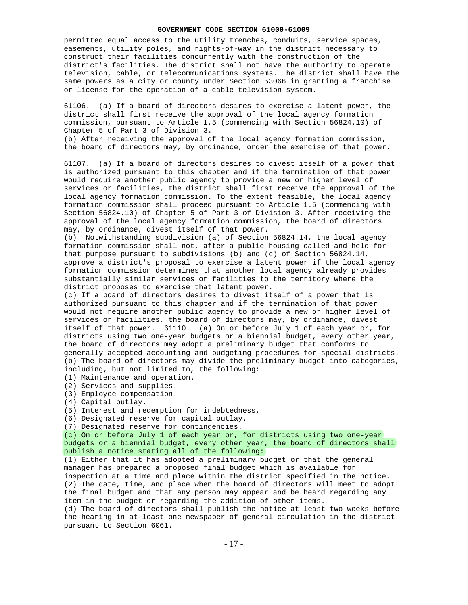permitted equal access to the utility trenches, conduits, service spaces, easements, utility poles, and rights-of-way in the district necessary to construct their facilities concurrently with the construction of the district's facilities. The district shall not have the authority to operate television, cable, or telecommunications systems. The district shall have the same powers as a city or county under Section 53066 in granting a franchise or license for the operation of a cable television system.

61106. (a) If a board of directors desires to exercise a latent power, the district shall first receive the approval of the local agency formation commission, pursuant to Article 1.5 (commencing with Section 56824.10) of Chapter 5 of Part 3 of Division 3.

(b) After receiving the approval of the local agency formation commission, the board of directors may, by ordinance, order the exercise of that power.

61107. (a) If a board of directors desires to divest itself of a power that is authorized pursuant to this chapter and if the termination of that power would require another public agency to provide a new or higher level of services or facilities, the district shall first receive the approval of the local agency formation commission. To the extent feasible, the local agency formation commission shall proceed pursuant to Article 1.5 (commencing with Section 56824.10) of Chapter 5 of Part 3 of Division 3. After receiving the approval of the local agency formation commission, the board of directors may, by ordinance, divest itself of that power.

(b) Notwithstanding subdivision (a) of Section 56824.14, the local agency formation commission shall not, after a public housing called and held for that purpose pursuant to subdivisions (b) and (c) of Section 56824.14, approve a district's proposal to exercise a latent power if the local agency formation commission determines that another local agency already provides substantially similar services or facilities to the territory where the district proposes to exercise that latent power.

(c) If a board of directors desires to divest itself of a power that is authorized pursuant to this chapter and if the termination of that power would not require another public agency to provide a new or higher level of services or facilities, the board of directors may, by ordinance, divest itself of that power. 61110. (a) On or before July 1 of each year or, for districts using two one-year budgets or a biennial budget, every other year, the board of directors may adopt a preliminary budget that conforms to generally accepted accounting and budgeting procedures for special districts. (b) The board of directors may divide the preliminary budget into categories, including, but not limited to, the following:

- (1) Maintenance and operation.
- (2) Services and supplies.
- (3) Employee compensation.
- (4) Capital outlay.
- (5) Interest and redemption for indebtedness.
- (6) Designated reserve for capital outlay.

(7) Designated reserve for contingencies.

(c) On or before July 1 of each year or, for districts using two one-year budgets or a biennial budget, every other year, the board of directors shall publish a notice stating all of the following:

(1) Either that it has adopted a preliminary budget or that the general manager has prepared a proposed final budget which is available for inspection at a time and place within the district specified in the notice. (2) The date, time, and place when the board of directors will meet to adopt the final budget and that any person may appear and be heard regarding any item in the budget or regarding the addition of other items.

(d) The board of directors shall publish the notice at least two weeks before the hearing in at least one newspaper of general circulation in the district pursuant to Section 6061.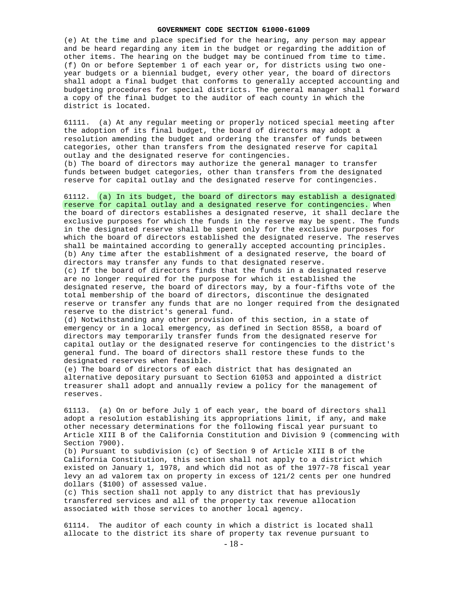(e) At the time and place specified for the hearing, any person may appear and be heard regarding any item in the budget or regarding the addition of other items. The hearing on the budget may be continued from time to time. (f) On or before September 1 of each year or, for districts using two oneyear budgets or a biennial budget, every other year, the board of directors shall adopt a final budget that conforms to generally accepted accounting and budgeting procedures for special districts. The general manager shall forward a copy of the final budget to the auditor of each county in which the district is located.

61111. (a) At any regular meeting or properly noticed special meeting after the adoption of its final budget, the board of directors may adopt a resolution amending the budget and ordering the transfer of funds between categories, other than transfers from the designated reserve for capital outlay and the designated reserve for contingencies.

(b) The board of directors may authorize the general manager to transfer funds between budget categories, other than transfers from the designated reserve for capital outlay and the designated reserve for contingencies.

61112. (a) In its budget, the board of directors may establish a designated reserve for capital outlay and a designated reserve for contingencies. When the board of directors establishes a designated reserve, it shall declare the exclusive purposes for which the funds in the reserve may be spent. The funds in the designated reserve shall be spent only for the exclusive purposes for which the board of directors established the designated reserve. The reserves shall be maintained according to generally accepted accounting principles. (b) Any time after the establishment of a designated reserve, the board of directors may transfer any funds to that designated reserve.

(c) If the board of directors finds that the funds in a designated reserve are no longer required for the purpose for which it established the designated reserve, the board of directors may, by a four-fifths vote of the total membership of the board of directors, discontinue the designated reserve or transfer any funds that are no longer required from the designated reserve to the district's general fund.

(d) Notwithstanding any other provision of this section, in a state of emergency or in a local emergency, as defined in Section 8558, a board of directors may temporarily transfer funds from the designated reserve for capital outlay or the designated reserve for contingencies to the district's general fund. The board of directors shall restore these funds to the designated reserves when feasible.

(e) The board of directors of each district that has designated an alternative depositary pursuant to Section 61053 and appointed a district treasurer shall adopt and annually review a policy for the management of reserves.

61113. (a) On or before July 1 of each year, the board of directors shall adopt a resolution establishing its appropriations limit, if any, and make other necessary determinations for the following fiscal year pursuant to Article XIII B of the California Constitution and Division 9 (commencing with Section 7900).

(b) Pursuant to subdivision (c) of Section 9 of Article XIII B of the California Constitution, this section shall not apply to a district which existed on January 1, 1978, and which did not as of the 1977-78 fiscal year levy an ad valorem tax on property in excess of 121/2 cents per one hundred dollars (\$100) of assessed value.

(c) This section shall not apply to any district that has previously transferred services and all of the property tax revenue allocation associated with those services to another local agency.

61114. The auditor of each county in which a district is located shall allocate to the district its share of property tax revenue pursuant to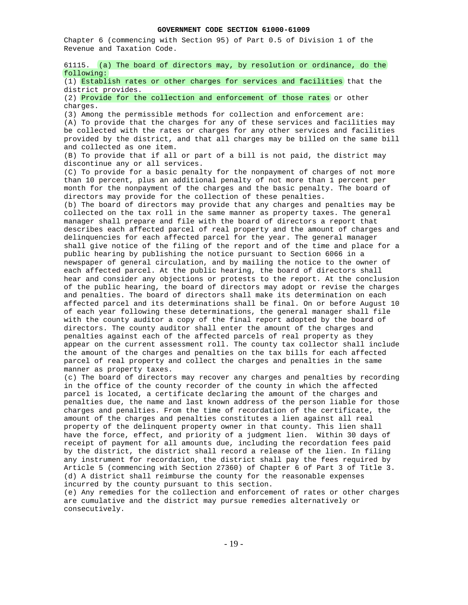Chapter 6 (commencing with Section 95) of Part 0.5 of Division 1 of the Revenue and Taxation Code.

61115. (a) The board of directors may, by resolution or ordinance, do the following:

(1) Establish rates or other charges for services and facilities that the district provides.

(2) Provide for the collection and enforcement of those rates or other charges.

(3) Among the permissible methods for collection and enforcement are: (A) To provide that the charges for any of these services and facilities may be collected with the rates or charges for any other services and facilities provided by the district, and that all charges may be billed on the same bill and collected as one item.

(B) To provide that if all or part of a bill is not paid, the district may discontinue any or all services.

(C) To provide for a basic penalty for the nonpayment of charges of not more than 10 percent, plus an additional penalty of not more than 1 percent per month for the nonpayment of the charges and the basic penalty. The board of directors may provide for the collection of these penalties.

(b) The board of directors may provide that any charges and penalties may be collected on the tax roll in the same manner as property taxes. The general manager shall prepare and file with the board of directors a report that describes each affected parcel of real property and the amount of charges and delinquencies for each affected parcel for the year. The general manager shall give notice of the filing of the report and of the time and place for a public hearing by publishing the notice pursuant to Section 6066 in a newspaper of general circulation, and by mailing the notice to the owner of each affected parcel. At the public hearing, the board of directors shall hear and consider any objections or protests to the report. At the conclusion of the public hearing, the board of directors may adopt or revise the charges and penalties. The board of directors shall make its determination on each affected parcel and its determinations shall be final. On or before August 10 of each year following these determinations, the general manager shall file with the county auditor a copy of the final report adopted by the board of directors. The county auditor shall enter the amount of the charges and penalties against each of the affected parcels of real property as they appear on the current assessment roll. The county tax collector shall include the amount of the charges and penalties on the tax bills for each affected parcel of real property and collect the charges and penalties in the same manner as property taxes.

(c) The board of directors may recover any charges and penalties by recording in the office of the county recorder of the county in which the affected parcel is located, a certificate declaring the amount of the charges and penalties due, the name and last known address of the person liable for those charges and penalties. From the time of recordation of the certificate, the amount of the charges and penalties constitutes a lien against all real property of the delinquent property owner in that county. This lien shall have the force, effect, and priority of a judgment lien. Within 30 days of receipt of payment for all amounts due, including the recordation fees paid by the district, the district shall record a release of the lien. In filing any instrument for recordation, the district shall pay the fees required by Article 5 (commencing with Section 27360) of Chapter 6 of Part 3 of Title 3. (d) A district shall reimburse the county for the reasonable expenses incurred by the county pursuant to this section.

(e) Any remedies for the collection and enforcement of rates or other charges are cumulative and the district may pursue remedies alternatively or consecutively.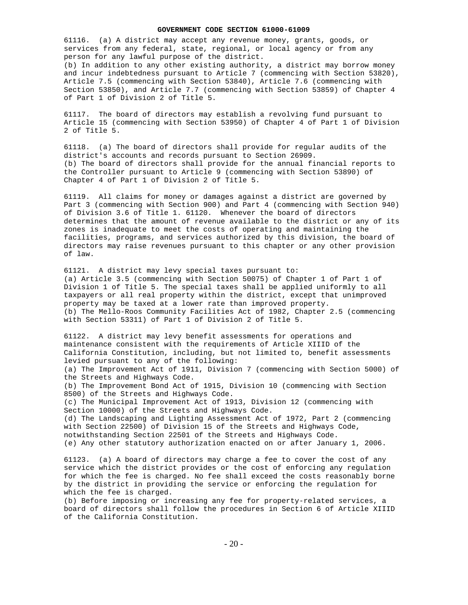61116. (a) A district may accept any revenue money, grants, goods, or services from any federal, state, regional, or local agency or from any person for any lawful purpose of the district. (b) In addition to any other existing authority, a district may borrow money and incur indebtedness pursuant to Article 7 (commencing with Section 53820), Article 7.5 (commencing with Section 53840), Article 7.6 (commencing with Section 53850), and Article 7.7 (commencing with Section 53859) of Chapter 4

of Part 1 of Division 2 of Title 5.

61117. The board of directors may establish a revolving fund pursuant to Article 15 (commencing with Section 53950) of Chapter 4 of Part 1 of Division 2 of Title 5.

61118. (a) The board of directors shall provide for regular audits of the district's accounts and records pursuant to Section 26909. (b) The board of directors shall provide for the annual financial reports to the Controller pursuant to Article 9 (commencing with Section 53890) of Chapter 4 of Part 1 of Division 2 of Title 5.

61119. All claims for money or damages against a district are governed by Part 3 (commencing with Section 900) and Part 4 (commencing with Section 940) of Division 3.6 of Title 1. 61120. Whenever the board of directors determines that the amount of revenue available to the district or any of its zones is inadequate to meet the costs of operating and maintaining the facilities, programs, and services authorized by this division, the board of directors may raise revenues pursuant to this chapter or any other provision of law.

61121. A district may levy special taxes pursuant to: (a) Article 3.5 (commencing with Section 50075) of Chapter 1 of Part 1 of Division 1 of Title 5. The special taxes shall be applied uniformly to all taxpayers or all real property within the district, except that unimproved property may be taxed at a lower rate than improved property. (b) The Mello-Roos Community Facilities Act of 1982, Chapter 2.5 (commencing with Section 53311) of Part 1 of Division 2 of Title 5.

61122. A district may levy benefit assessments for operations and maintenance consistent with the requirements of Article XIIID of the California Constitution, including, but not limited to, benefit assessments levied pursuant to any of the following: (a) The Improvement Act of 1911, Division 7 (commencing with Section 5000) of the Streets and Highways Code. (b) The Improvement Bond Act of 1915, Division 10 (commencing with Section 8500) of the Streets and Highways Code. (c) The Municipal Improvement Act of 1913, Division 12 (commencing with Section 10000) of the Streets and Highways Code. (d) The Landscaping and Lighting Assessment Act of 1972, Part 2 (commencing with Section 22500) of Division 15 of the Streets and Highways Code, notwithstanding Section 22501 of the Streets and Highways Code. (e) Any other statutory authorization enacted on or after January 1, 2006.

61123. (a) A board of directors may charge a fee to cover the cost of any service which the district provides or the cost of enforcing any regulation for which the fee is charged. No fee shall exceed the costs reasonably borne by the district in providing the service or enforcing the regulation for which the fee is charged.

(b) Before imposing or increasing any fee for property-related services, a board of directors shall follow the procedures in Section 6 of Article XIIID of the California Constitution.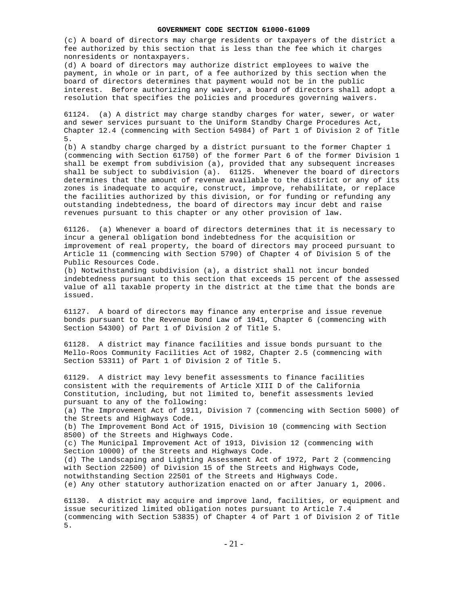(c) A board of directors may charge residents or taxpayers of the district a fee authorized by this section that is less than the fee which it charges nonresidents or nontaxpayers.

(d) A board of directors may authorize district employees to waive the payment, in whole or in part, of a fee authorized by this section when the board of directors determines that payment would not be in the public interest. Before authorizing any waiver, a board of directors shall adopt a resolution that specifies the policies and procedures governing waivers.

61124. (a) A district may charge standby charges for water, sewer, or water and sewer services pursuant to the Uniform Standby Charge Procedures Act, Chapter 12.4 (commencing with Section 54984) of Part 1 of Division 2 of Title 5.

(b) A standby charge charged by a district pursuant to the former Chapter 1 (commencing with Section 61750) of the former Part 6 of the former Division 1 shall be exempt from subdivision (a), provided that any subsequent increases shall be subject to subdivision (a). 61125. Whenever the board of directors determines that the amount of revenue available to the district or any of its zones is inadequate to acquire, construct, improve, rehabilitate, or replace the facilities authorized by this division, or for funding or refunding any outstanding indebtedness, the board of directors may incur debt and raise revenues pursuant to this chapter or any other provision of law.

61126. (a) Whenever a board of directors determines that it is necessary to incur a general obligation bond indebtedness for the acquisition or improvement of real property, the board of directors may proceed pursuant to Article 11 (commencing with Section 5790) of Chapter 4 of Division 5 of the Public Resources Code.

(b) Notwithstanding subdivision (a), a district shall not incur bonded indebtedness pursuant to this section that exceeds 15 percent of the assessed value of all taxable property in the district at the time that the bonds are issued.

61127. A board of directors may finance any enterprise and issue revenue bonds pursuant to the Revenue Bond Law of 1941, Chapter 6 (commencing with Section 54300) of Part 1 of Division 2 of Title 5.

61128. A district may finance facilities and issue bonds pursuant to the Mello-Roos Community Facilities Act of 1982, Chapter 2.5 (commencing with Section 53311) of Part 1 of Division 2 of Title 5.

61129. A district may levy benefit assessments to finance facilities consistent with the requirements of Article XIII D of the California Constitution, including, but not limited to, benefit assessments levied pursuant to any of the following: (a) The Improvement Act of 1911, Division 7 (commencing with Section 5000) of the Streets and Highways Code. (b) The Improvement Bond Act of 1915, Division 10 (commencing with Section 8500) of the Streets and Highways Code. (c) The Municipal Improvement Act of 1913, Division 12 (commencing with Section 10000) of the Streets and Highways Code. (d) The Landscaping and Lighting Assessment Act of 1972, Part 2 (commencing with Section 22500) of Division 15 of the Streets and Highways Code, notwithstanding Section 22501 of the Streets and Highways Code. (e) Any other statutory authorization enacted on or after January 1, 2006.

61130. A district may acquire and improve land, facilities, or equipment and issue securitized limited obligation notes pursuant to Article 7.4 (commencing with Section 53835) of Chapter 4 of Part 1 of Division 2 of Title 5.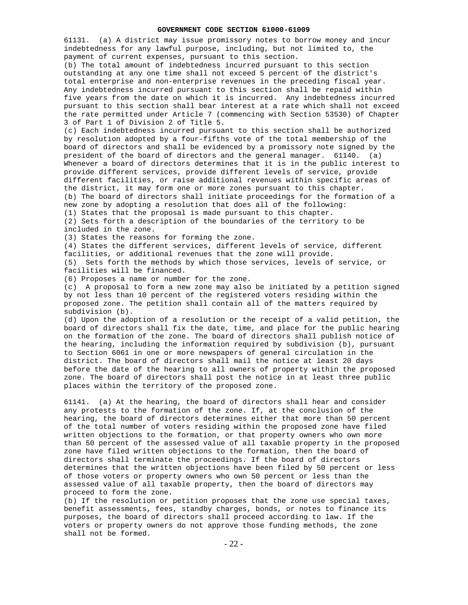61131. (a) A district may issue promissory notes to borrow money and incur indebtedness for any lawful purpose, including, but not limited to, the payment of current expenses, pursuant to this section.

(b) The total amount of indebtedness incurred pursuant to this section outstanding at any one time shall not exceed 5 percent of the district's total enterprise and non-enterprise revenues in the preceding fiscal year. Any indebtedness incurred pursuant to this section shall be repaid within five years from the date on which it is incurred. Any indebtedness incurred pursuant to this section shall bear interest at a rate which shall not exceed the rate permitted under Article 7 (commencing with Section 53530) of Chapter 3 of Part 1 of Division 2 of Title 5.

(c) Each indebtedness incurred pursuant to this section shall be authorized by resolution adopted by a four-fifths vote of the total membership of the board of directors and shall be evidenced by a promissory note signed by the president of the board of directors and the general manager. 61140. (a) Whenever a board of directors determines that it is in the public interest to provide different services, provide different levels of service, provide different facilities, or raise additional revenues within specific areas of the district, it may form one or more zones pursuant to this chapter. (b) The board of directors shall initiate proceedings for the formation of a new zone by adopting a resolution that does all of the following: (1) States that the proposal is made pursuant to this chapter. (2) Sets forth a description of the boundaries of the territory to be

included in the zone.

(3) States the reasons for forming the zone.

(4) States the different services, different levels of service, different facilities, or additional revenues that the zone will provide. (5) Sets forth the methods by which those services, levels of service, or facilities will be financed.

(6) Proposes a name or number for the zone.

(c) A proposal to form a new zone may also be initiated by a petition signed by not less than 10 percent of the registered voters residing within the proposed zone. The petition shall contain all of the matters required by subdivision (b).

(d) Upon the adoption of a resolution or the receipt of a valid petition, the board of directors shall fix the date, time, and place for the public hearing on the formation of the zone. The board of directors shall publish notice of the hearing, including the information required by subdivision (b), pursuant to Section 6061 in one or more newspapers of general circulation in the district. The board of directors shall mail the notice at least 20 days before the date of the hearing to all owners of property within the proposed zone. The board of directors shall post the notice in at least three public places within the territory of the proposed zone.

61141. (a) At the hearing, the board of directors shall hear and consider any protests to the formation of the zone. If, at the conclusion of the hearing, the board of directors determines either that more than 50 percent of the total number of voters residing within the proposed zone have filed written objections to the formation, or that property owners who own more than 50 percent of the assessed value of all taxable property in the proposed zone have filed written objections to the formation, then the board of directors shall terminate the proceedings. If the board of directors determines that the written objections have been filed by 50 percent or less of those voters or property owners who own 50 percent or less than the assessed value of all taxable property, then the board of directors may proceed to form the zone.

(b) If the resolution or petition proposes that the zone use special taxes, benefit assessments, fees, standby charges, bonds, or notes to finance its purposes, the board of directors shall proceed according to law. If the voters or property owners do not approve those funding methods, the zone shall not be formed.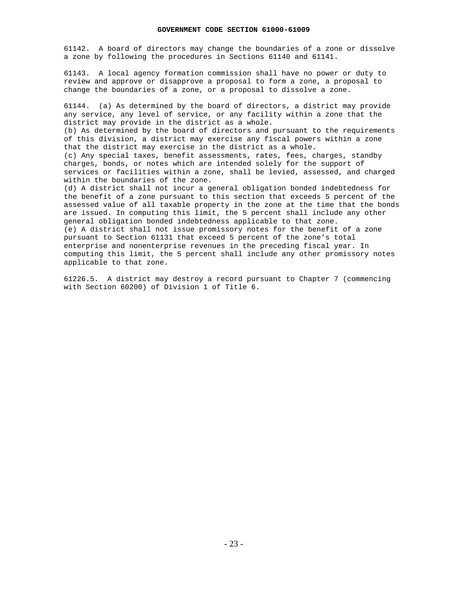61142. A board of directors may change the boundaries of a zone or dissolve a zone by following the procedures in Sections 61140 and 61141.

61143. A local agency formation commission shall have no power or duty to review and approve or disapprove a proposal to form a zone, a proposal to change the boundaries of a zone, or a proposal to dissolve a zone.

61144. (a) As determined by the board of directors, a district may provide any service, any level of service, or any facility within a zone that the district may provide in the district as a whole.

(b) As determined by the board of directors and pursuant to the requirements of this division, a district may exercise any fiscal powers within a zone that the district may exercise in the district as a whole. (c) Any special taxes, benefit assessments, rates, fees, charges, standby

charges, bonds, or notes which are intended solely for the support of services or facilities within a zone, shall be levied, assessed, and charged within the boundaries of the zone.

(d) A district shall not incur a general obligation bonded indebtedness for the benefit of a zone pursuant to this section that exceeds 5 percent of the assessed value of all taxable property in the zone at the time that the bonds are issued. In computing this limit, the 5 percent shall include any other general obligation bonded indebtedness applicable to that zone. (e) A district shall not issue promissory notes for the benefit of a zone pursuant to Section 61131 that exceed 5 percent of the zone's total enterprise and nonenterprise revenues in the preceding fiscal year. In computing this limit, the 5 percent shall include any other promissory notes

61226.5. A district may destroy a record pursuant to Chapter 7 (commencing with Section 60200) of Division 1 of Title 6.

applicable to that zone.